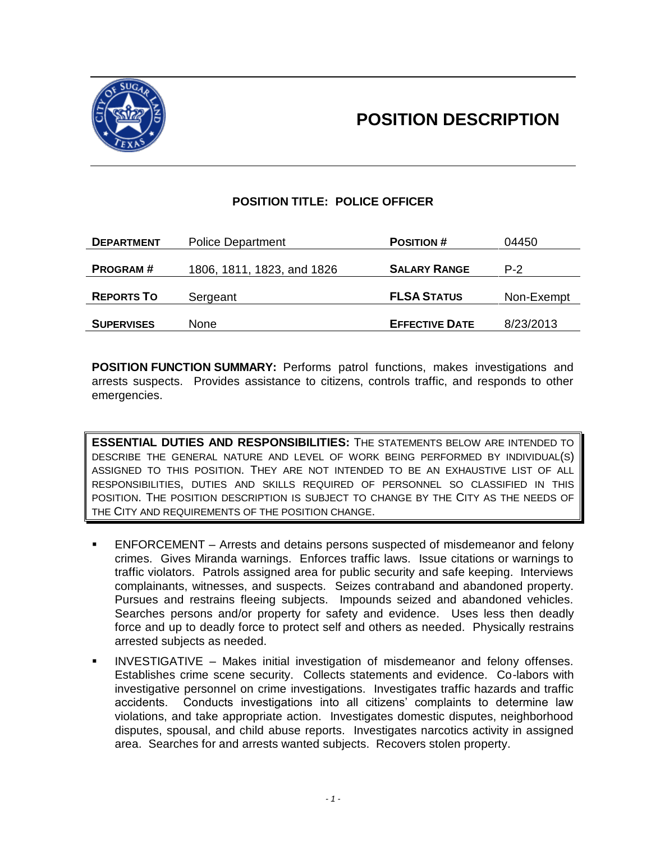



# **POSITION TITLE: POLICE OFFICER**

| <b>DEPARTMENT</b> | <b>Police Department</b>   | <b>POSITION #</b>     | 04450      |
|-------------------|----------------------------|-----------------------|------------|
| <b>PROGRAM#</b>   | 1806, 1811, 1823, and 1826 | <b>SALARY RANGE</b>   | $P-2$      |
|                   |                            |                       |            |
| <b>REPORTS TO</b> | Sergeant                   | <b>FLSA STATUS</b>    | Non-Exempt |
|                   |                            |                       |            |
| <b>SUPERVISES</b> | <b>None</b>                | <b>EFFECTIVE DATE</b> | 8/23/2013  |

**POSITION FUNCTION SUMMARY:** Performs patrol functions, makes investigations and arrests suspects. Provides assistance to citizens, controls traffic, and responds to other emergencies.

**ESSENTIAL DUTIES AND RESPONSIBILITIES:** THE STATEMENTS BELOW ARE INTENDED TO DESCRIBE THE GENERAL NATURE AND LEVEL OF WORK BEING PERFORMED BY INDIVIDUAL(S) ASSIGNED TO THIS POSITION. THEY ARE NOT INTENDED TO BE AN EXHAUSTIVE LIST OF ALL RESPONSIBILITIES, DUTIES AND SKILLS REQUIRED OF PERSONNEL SO CLASSIFIED IN THIS POSITION. THE POSITION DESCRIPTION IS SUBJECT TO CHANGE BY THE CITY AS THE NEEDS OF THE CITY AND REQUIREMENTS OF THE POSITION CHANGE.

- ENFORCEMENT Arrests and detains persons suspected of misdemeanor and felony crimes. Gives Miranda warnings. Enforces traffic laws. Issue citations or warnings to traffic violators. Patrols assigned area for public security and safe keeping. Interviews complainants, witnesses, and suspects. Seizes contraband and abandoned property. Pursues and restrains fleeing subjects. Impounds seized and abandoned vehicles. Searches persons and/or property for safety and evidence. Uses less then deadly force and up to deadly force to protect self and others as needed. Physically restrains arrested subjects as needed.
- INVESTIGATIVE Makes initial investigation of misdemeanor and felony offenses. Establishes crime scene security. Collects statements and evidence. Co-labors with investigative personnel on crime investigations. Investigates traffic hazards and traffic accidents. Conducts investigations into all citizens' complaints to determine law violations, and take appropriate action. Investigates domestic disputes, neighborhood disputes, spousal, and child abuse reports. Investigates narcotics activity in assigned area. Searches for and arrests wanted subjects. Recovers stolen property.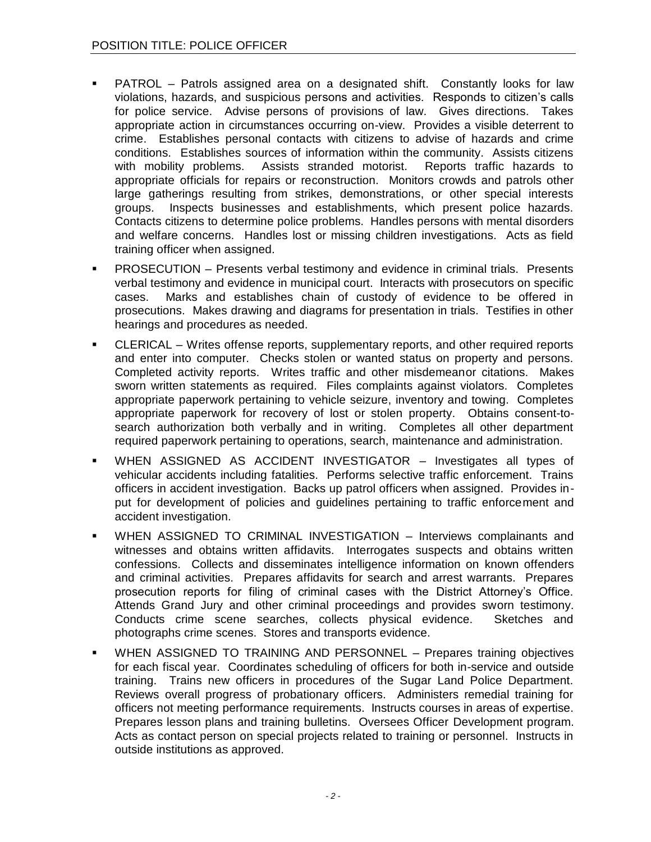- PATROL Patrols assigned area on a designated shift. Constantly looks for law violations, hazards, and suspicious persons and activities. Responds to citizen's calls for police service. Advise persons of provisions of law. Gives directions. Takes appropriate action in circumstances occurring on-view. Provides a visible deterrent to crime. Establishes personal contacts with citizens to advise of hazards and crime conditions. Establishes sources of information within the community. Assists citizens with mobility problems. Assists stranded motorist. Reports traffic hazards to appropriate officials for repairs or reconstruction. Monitors crowds and patrols other large gatherings resulting from strikes, demonstrations, or other special interests groups. Inspects businesses and establishments, which present police hazards. Contacts citizens to determine police problems. Handles persons with mental disorders and welfare concerns. Handles lost or missing children investigations. Acts as field training officer when assigned.
- PROSECUTION Presents verbal testimony and evidence in criminal trials. Presents verbal testimony and evidence in municipal court. Interacts with prosecutors on specific cases. Marks and establishes chain of custody of evidence to be offered in prosecutions. Makes drawing and diagrams for presentation in trials. Testifies in other hearings and procedures as needed.
- CLERICAL Writes offense reports, supplementary reports, and other required reports and enter into computer. Checks stolen or wanted status on property and persons. Completed activity reports. Writes traffic and other misdemeanor citations. Makes sworn written statements as required. Files complaints against violators. Completes appropriate paperwork pertaining to vehicle seizure, inventory and towing. Completes appropriate paperwork for recovery of lost or stolen property. Obtains consent-tosearch authorization both verbally and in writing. Completes all other department required paperwork pertaining to operations, search, maintenance and administration.
- WHEN ASSIGNED AS ACCIDENT INVESTIGATOR Investigates all types of vehicular accidents including fatalities. Performs selective traffic enforcement. Trains officers in accident investigation. Backs up patrol officers when assigned. Provides input for development of policies and guidelines pertaining to traffic enforcement and accident investigation.
- WHEN ASSIGNED TO CRIMINAL INVESTIGATION Interviews complainants and witnesses and obtains written affidavits. Interrogates suspects and obtains written confessions. Collects and disseminates intelligence information on known offenders and criminal activities. Prepares affidavits for search and arrest warrants. Prepares prosecution reports for filing of criminal cases with the District Attorney's Office. Attends Grand Jury and other criminal proceedings and provides sworn testimony. Conducts crime scene searches, collects physical evidence. Sketches and photographs crime scenes. Stores and transports evidence.
- WHEN ASSIGNED TO TRAINING AND PERSONNEL Prepares training objectives for each fiscal year. Coordinates scheduling of officers for both in-service and outside training. Trains new officers in procedures of the Sugar Land Police Department. Reviews overall progress of probationary officers. Administers remedial training for officers not meeting performance requirements. Instructs courses in areas of expertise. Prepares lesson plans and training bulletins. Oversees Officer Development program. Acts as contact person on special projects related to training or personnel. Instructs in outside institutions as approved.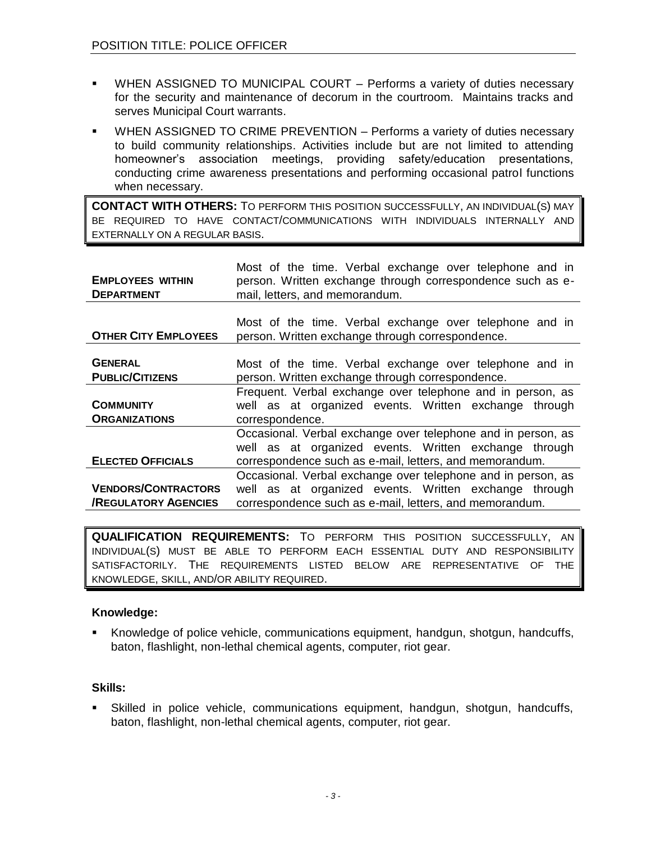- WHEN ASSIGNED TO MUNICIPAL COURT Performs a variety of duties necessary for the security and maintenance of decorum in the courtroom. Maintains tracks and serves Municipal Court warrants.
- WHEN ASSIGNED TO CRIME PREVENTION Performs a variety of duties necessary to build community relationships. Activities include but are not limited to attending homeowner's association meetings, providing safety/education presentations, conducting crime awareness presentations and performing occasional patrol functions when necessary.

**CONTACT WITH OTHERS:** TO PERFORM THIS POSITION SUCCESSFULLY, AN INDIVIDUAL(S) MAY BE REQUIRED TO HAVE CONTACT/COMMUNICATIONS WITH INDIVIDUALS INTERNALLY AND EXTERNALLY ON A REGULAR BASIS.

| <b>EMPLOYEES WITHIN</b><br><b>DEPARTMENT</b> | Most of the time. Verbal exchange over telephone and in<br>person. Written exchange through correspondence such as e-<br>mail, letters, and memorandum. |  |
|----------------------------------------------|---------------------------------------------------------------------------------------------------------------------------------------------------------|--|
|                                              |                                                                                                                                                         |  |
| <b>OTHER CITY EMPLOYEES</b>                  | Most of the time. Verbal exchange over telephone and in<br>person. Written exchange through correspondence.                                             |  |
|                                              |                                                                                                                                                         |  |
| <b>GENERAL</b>                               | Most of the time. Verbal exchange over telephone and in                                                                                                 |  |
| <b>PUBLIC/CITIZENS</b>                       | person. Written exchange through correspondence.                                                                                                        |  |
|                                              | Frequent. Verbal exchange over telephone and in person, as                                                                                              |  |
| <b>COMMUNITY</b>                             | well as at organized events. Written exchange through                                                                                                   |  |
| <b>ORGANIZATIONS</b>                         | correspondence.                                                                                                                                         |  |
|                                              | Occasional. Verbal exchange over telephone and in person, as                                                                                            |  |
|                                              | well as at organized events. Written exchange through                                                                                                   |  |
| <b>ELECTED OFFICIALS</b>                     | correspondence such as e-mail, letters, and memorandum.                                                                                                 |  |
|                                              | Occasional. Verbal exchange over telephone and in person, as                                                                                            |  |
| <b>VENDORS/CONTRACTORS</b>                   | well as at organized events. Written exchange through                                                                                                   |  |
| <b>/REGULATORY AGENCIES</b>                  | correspondence such as e-mail, letters, and memorandum.                                                                                                 |  |

**QUALIFICATION REQUIREMENTS:** TO PERFORM THIS POSITION SUCCESSFULLY, AN INDIVIDUAL(S) MUST BE ABLE TO PERFORM EACH ESSENTIAL DUTY AND RESPONSIBILITY SATISFACTORILY. THE REQUIREMENTS LISTED BELOW ARE REPRESENTATIVE OF THE KNOWLEDGE, SKILL, AND/OR ABILITY REQUIRED.

## **Knowledge:**

 Knowledge of police vehicle, communications equipment, handgun, shotgun, handcuffs, baton, flashlight, non-lethal chemical agents, computer, riot gear.

## **Skills:**

 Skilled in police vehicle, communications equipment, handgun, shotgun, handcuffs, baton, flashlight, non-lethal chemical agents, computer, riot gear.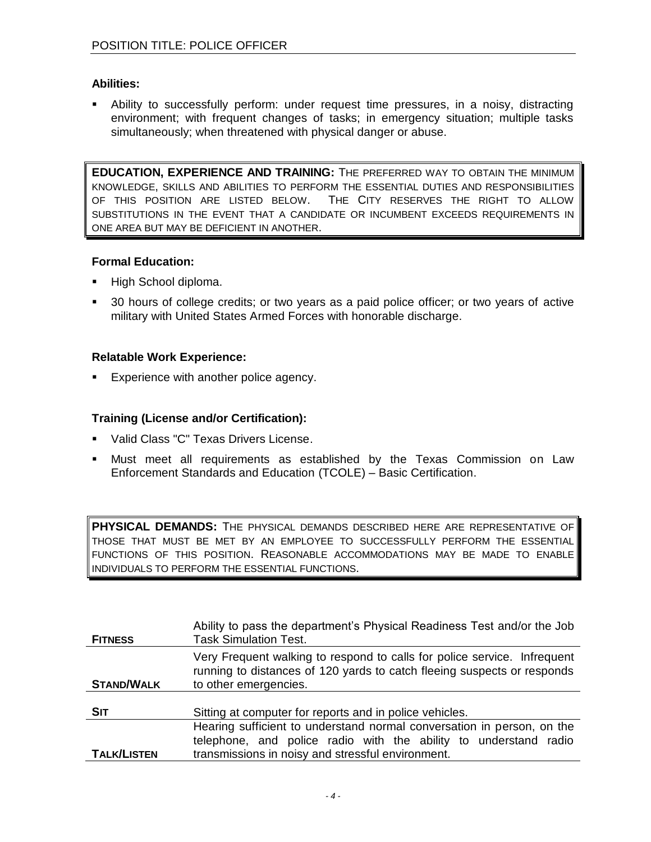## **Abilities:**

 Ability to successfully perform: under request time pressures, in a noisy, distracting environment; with frequent changes of tasks; in emergency situation; multiple tasks simultaneously; when threatened with physical danger or abuse.

**EDUCATION, EXPERIENCE AND TRAINING:** THE PREFERRED WAY TO OBTAIN THE MINIMUM KNOWLEDGE, SKILLS AND ABILITIES TO PERFORM THE ESSENTIAL DUTIES AND RESPONSIBILITIES OF THIS POSITION ARE LISTED BELOW. THE CITY RESERVES THE RIGHT TO ALLOW SUBSTITUTIONS IN THE EVENT THAT A CANDIDATE OR INCUMBENT EXCEEDS REQUIREMENTS IN ONE AREA BUT MAY BE DEFICIENT IN ANOTHER.

## **Formal Education:**

- High School diploma.
- 30 hours of college credits; or two years as a paid police officer; or two years of active military with United States Armed Forces with honorable discharge.

## **Relatable Work Experience:**

Experience with another police agency.

## **Training (License and/or Certification):**

- Valid Class "C" Texas Drivers License.
- Must meet all requirements as established by the Texas Commission on Law Enforcement Standards and Education (TCOLE) – Basic Certification.

**PHYSICAL DEMANDS:** THE PHYSICAL DEMANDS DESCRIBED HERE ARE REPRESENTATIVE OF THOSE THAT MUST BE MET BY AN EMPLOYEE TO SUCCESSFULLY PERFORM THE ESSENTIAL FUNCTIONS OF THIS POSITION. REASONABLE ACCOMMODATIONS MAY BE MADE TO ENABLE INDIVIDUALS TO PERFORM THE ESSENTIAL FUNCTIONS.

| <b>FITNESS</b>     | Ability to pass the department's Physical Readiness Test and/or the Job<br><b>Task Simulation Test.</b>                                                                                         |
|--------------------|-------------------------------------------------------------------------------------------------------------------------------------------------------------------------------------------------|
| <b>STAND/WALK</b>  | Very Frequent walking to respond to calls for police service. Infrequent<br>running to distances of 120 yards to catch fleeing suspects or responds<br>to other emergencies.                    |
| <b>SIT</b>         | Sitting at computer for reports and in police vehicles.                                                                                                                                         |
| <b>TALK/LISTEN</b> | Hearing sufficient to understand normal conversation in person, on the<br>telephone, and police radio with the ability to understand radio<br>transmissions in noisy and stressful environment. |